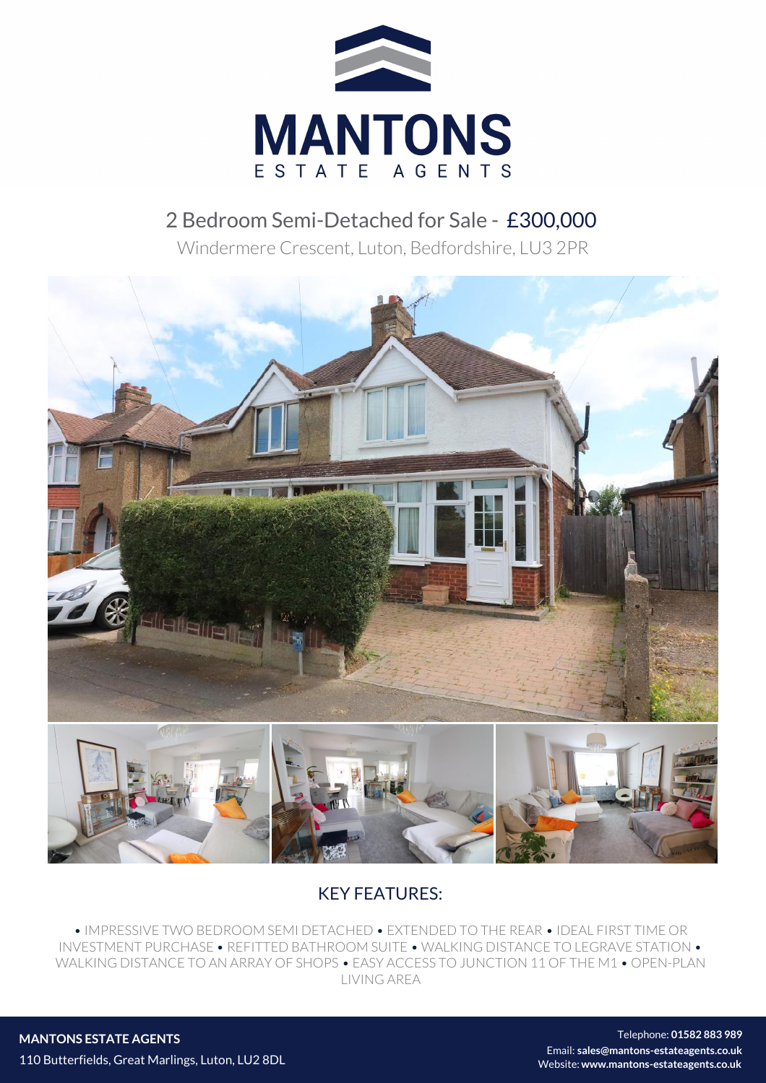

## 2 Bedroom Semi-Detached for Sale - £300,000

Windermere Crescent, Luton, Bedfordshire, LU3 2PR



## KEY FEATURES:

• IMPRESSIVE TWO BEDROOM SEMI DETACHED • EXTENDED TO THE REAR • IDEAL FIRST TIME OR INVESTMENT PURCHASE • REFITTED BATHROOM SUITE • WALKING DISTANCE TO LEGRAVE STATION • WALKING DISTANCE TO AN ARRAY OF SHOPS • EASY ACCESS TO JUNCTION 11 OF THE M1 • OPEN-PLAN LIVING AREA